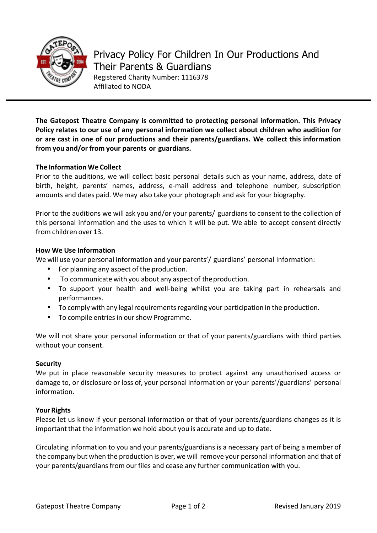

**The Gatepost Theatre Company is committed to protecting personal information. This Privacy Policy relates to our use of any personal information we collect about children who audition for or are cast in one of our productions and their parents/guardians. We collect this information from you and/or from your parents or guardians.**

# **The Information We Collect**

Prior to the auditions, we will collect basic personal details such as your name, address, date of birth, height, parents' names, address, e-mail address and telephone number, subscription amounts and dates paid. We may also take your photograph and ask for your biography.

Prior to the auditions we will ask you and/or your parents/ guardians to consent to the collection of this personal information and the uses to which it will be put. We able to accept consent directly from children over 13.

## **How We Use Information**

We will use your personal information and your parents'/ guardians' personal information:

- For planning any aspect of the production.
- To communicate with you about any aspect of the production.
- To support your health and well-being whilst you are taking part in rehearsals and performances.
- To comply with any legal requirements regarding your participation in the production.
- To compile entries in our show Programme.
- We will not share your personal information or that of your parents/guardians with third parties without your consent.

#### **Security**

We put in place reasonable security measures to protect against any unauthorised access or damage to, or disclosure or loss of, your personal information or your parents'/guardians' personal information.

## **Your Rights**

Please let us know if your personal information or that of your parents/guardians changes as it is important that the information we hold about you is accurate and up to date.

Circulating information to you and your parents/guardians is a necessary part of being a member of the company but when the production is over, we will remove your personal information and that of your parents/guardians from our files and cease any further communication with you.